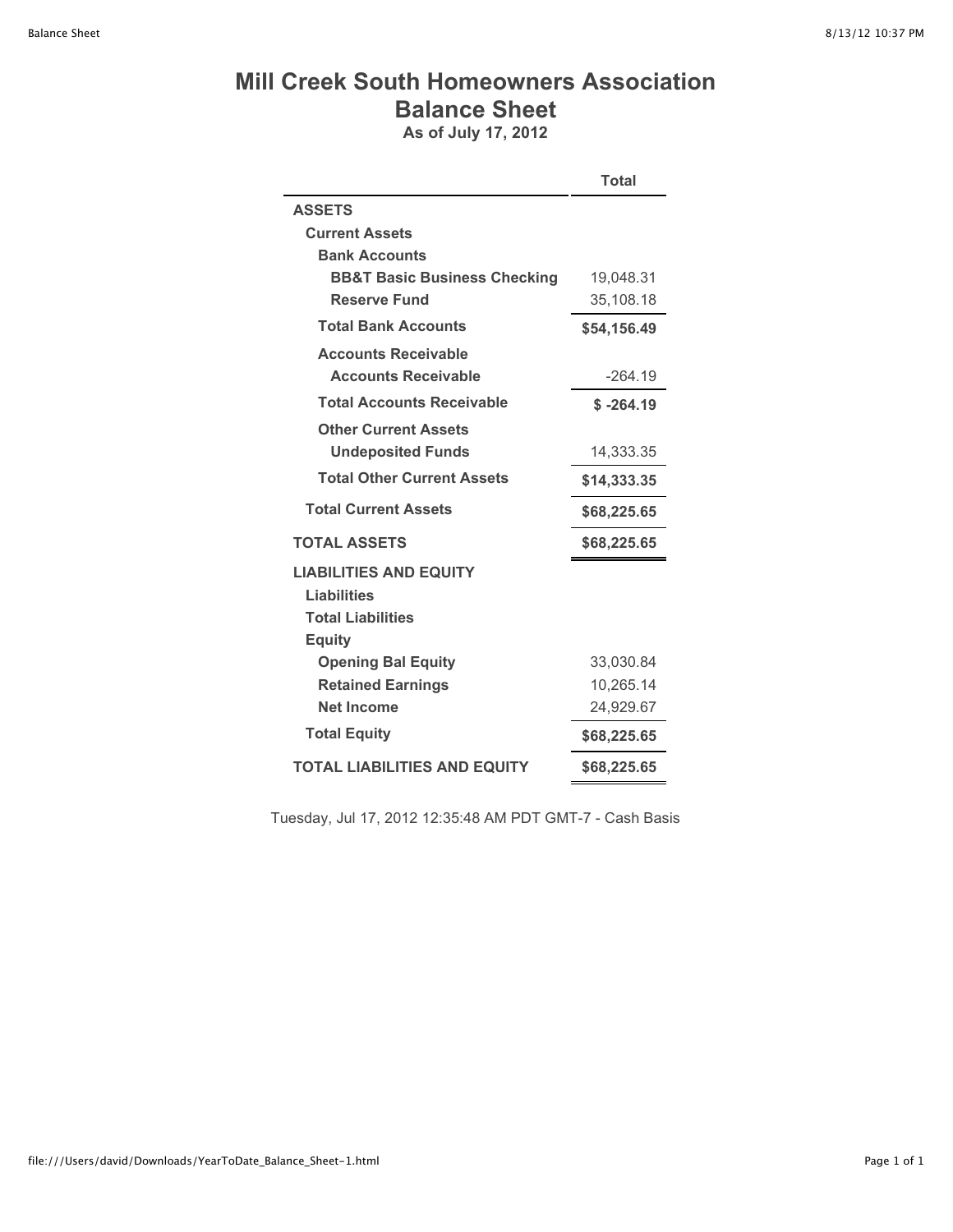## **Mill Creek South Homeowners Association Balance Sheet**

**As of July 17, 2012**

|                                         | <b>Total</b> |  |
|-----------------------------------------|--------------|--|
| <b>ASSETS</b>                           |              |  |
| <b>Current Assets</b>                   |              |  |
| <b>Bank Accounts</b>                    |              |  |
| <b>BB&amp;T Basic Business Checking</b> | 19,048.31    |  |
| <b>Reserve Fund</b>                     | 35,108.18    |  |
| <b>Total Bank Accounts</b>              | \$54,156.49  |  |
| <b>Accounts Receivable</b>              |              |  |
| <b>Accounts Receivable</b>              | $-264.19$    |  |
| <b>Total Accounts Receivable</b>        | $$ -264.19$  |  |
| <b>Other Current Assets</b>             |              |  |
| <b>Undeposited Funds</b>                | 14,333.35    |  |
| <b>Total Other Current Assets</b>       | \$14,333.35  |  |
| <b>Total Current Assets</b>             | \$68,225.65  |  |
| <b>TOTAL ASSETS</b>                     | \$68,225.65  |  |
| <b>LIABILITIES AND EQUITY</b>           |              |  |
| <b>Liabilities</b>                      |              |  |
| <b>Total Liabilities</b>                |              |  |
| <b>Equity</b>                           |              |  |
| <b>Opening Bal Equity</b>               | 33,030.84    |  |
| <b>Retained Earnings</b>                | 10,265.14    |  |
| <b>Net Income</b>                       | 24,929.67    |  |
| <b>Total Equity</b>                     | \$68,225.65  |  |
| <b>TOTAL LIABILITIES AND EQUITY</b>     | \$68,225.65  |  |

Tuesday, Jul 17, 2012 12:35:48 AM PDT GMT-7 - Cash Basis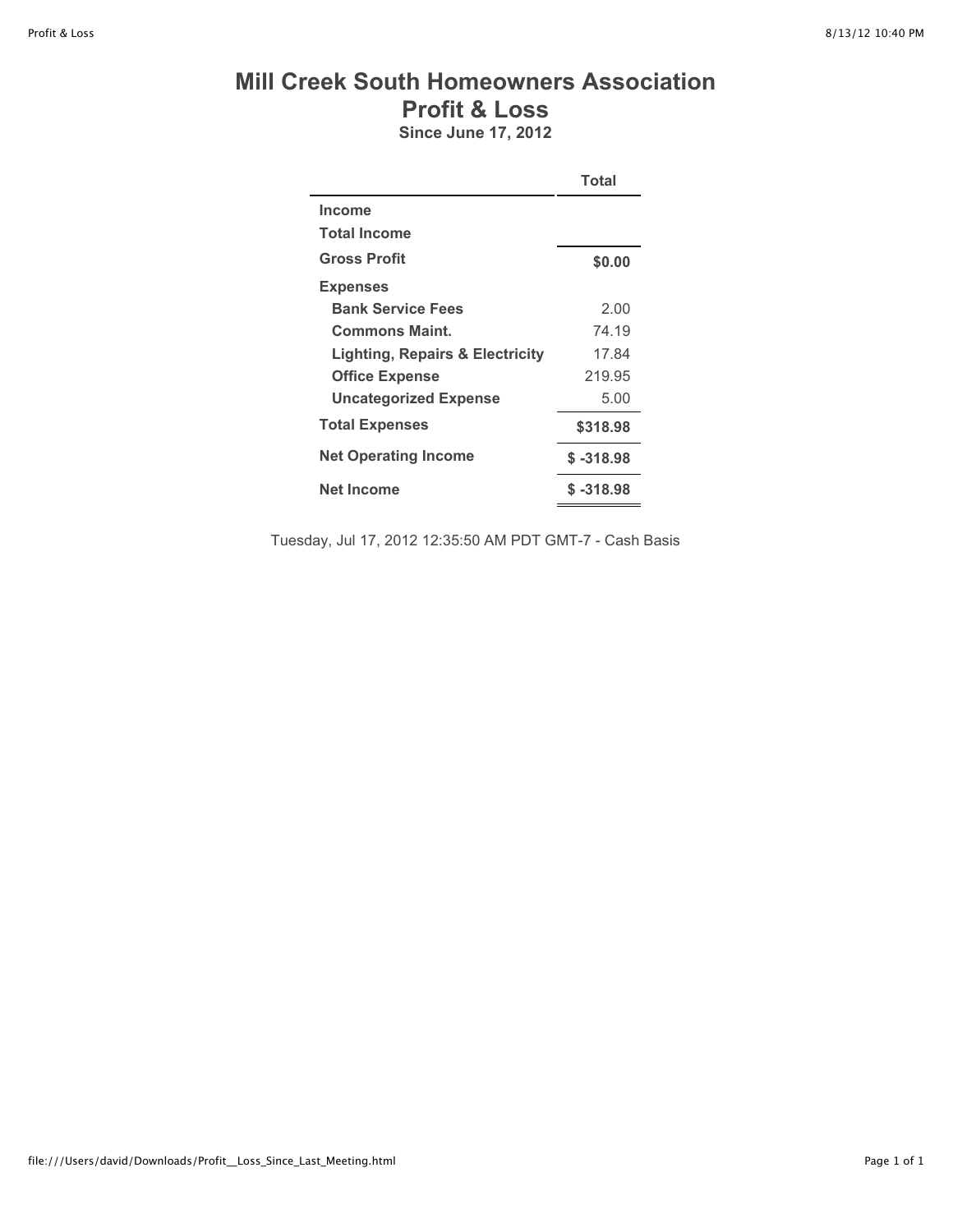## **Mill Creek South Homeowners Association Profit & Loss**

**Since June 17, 2012**

|                                            | Total       |
|--------------------------------------------|-------------|
| <b>Income</b>                              |             |
| <b>Total Income</b>                        |             |
| <b>Gross Profit</b>                        | \$0.00      |
| <b>Expenses</b>                            |             |
| <b>Bank Service Fees</b>                   | 2.00        |
| <b>Commons Maint.</b>                      | 74.19       |
| <b>Lighting, Repairs &amp; Electricity</b> | 17.84       |
| <b>Office Expense</b>                      | 219.95      |
| <b>Uncategorized Expense</b>               | 5.00        |
| <b>Total Expenses</b>                      | \$318.98    |
| <b>Net Operating Income</b>                | $$ -318.98$ |
| Net Income                                 | $$ -318.98$ |

Tuesday, Jul 17, 2012 12:35:50 AM PDT GMT-7 - Cash Basis